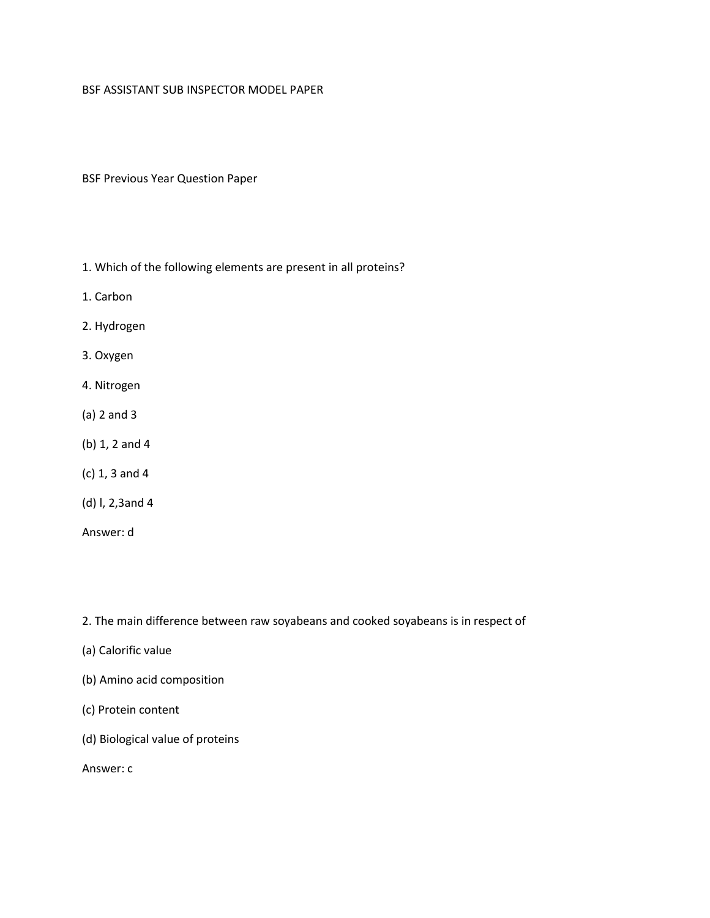## BSF ASSISTANT SUB INSPECTOR MODEL PAPER

BSF Previous Year Question Paper

- 1. Which of the following elements are present in all proteins?
- 1. Carbon
- 2. Hydrogen
- 3. Oxygen
- 4. Nitrogen
- (a) 2 and 3
- (b) 1, 2 and 4
- (c) 1, 3 and 4
- (d) l, 2,3and 4
- Answer: d

2. The main difference between raw soyabeans and cooked soyabeans is in respect of

- (a) Calorific value
- (b) Amino acid composition
- (c) Protein content
- (d) Biological value of proteins

Answer: c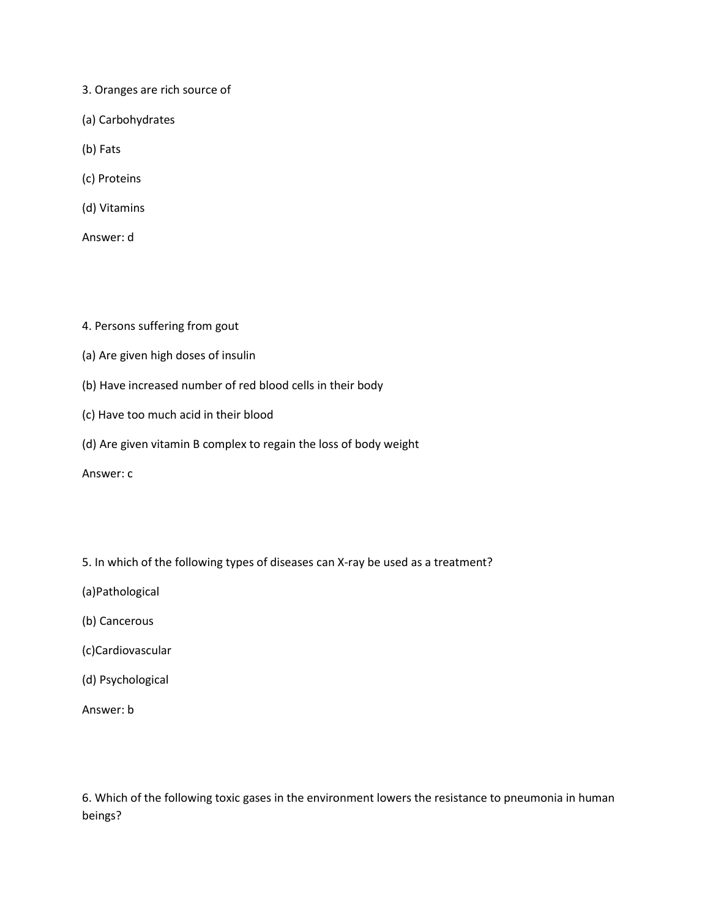- 3. Oranges are rich source of
- (a) Carbohydrates
- (b) Fats
- (c) Proteins
- (d) Vitamins
- Answer: d
- 4. Persons suffering from gout
- (a) Are given high doses of insulin
- (b) Have increased number of red blood cells in their body
- (c) Have too much acid in their blood
- (d) Are given vitamin B complex to regain the loss of body weight
- Answer: c
- 5. In which of the following types of diseases can X-ray be used as a treatment?
- (a)Pathological
- (b) Cancerous
- (c)Cardiovascular
- (d) Psychological
- Answer: b

6. Which of the following toxic gases in the environment lowers the resistance to pneumonia in human beings?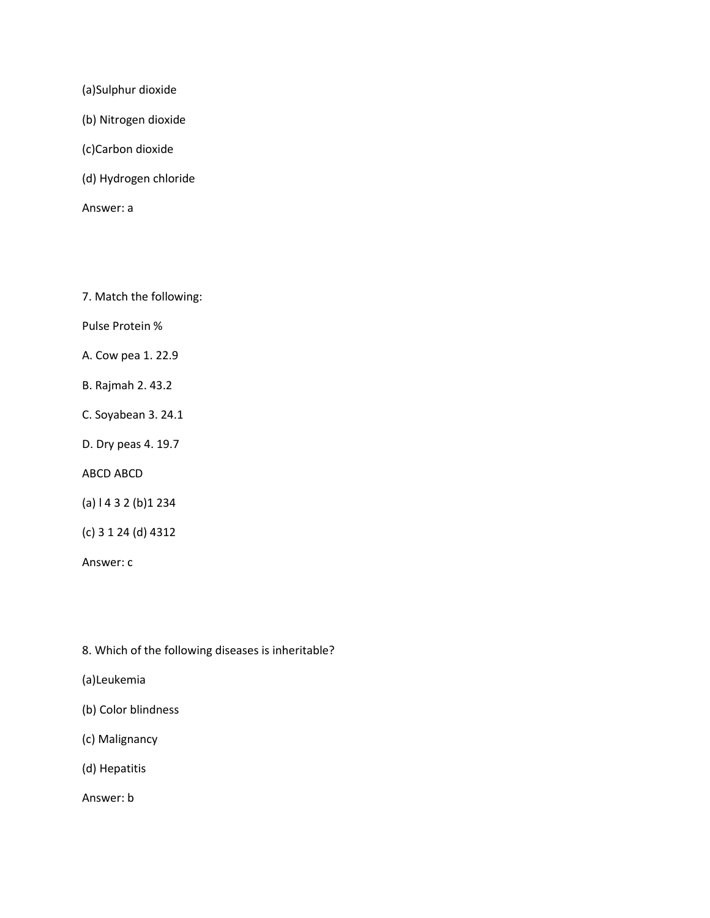(a)Sulphur dioxide

(b) Nitrogen dioxide

(c)Carbon dioxide

(d) Hydrogen chloride

Answer: a

7. Match the following:

Pulse Protein %

A. Cow pea 1. 22.9

B. Rajmah 2. 43.2

C. Soyabean 3. 24.1

D. Dry peas 4. 19.7

ABCD ABCD

(a) l 4 3 2 (b)1 234

(c) 3 1 24 (d) 4312

Answer: c

8. Which of the following diseases is inheritable?

(a)Leukemia

(b) Color blindness

(c) Malignancy

(d) Hepatitis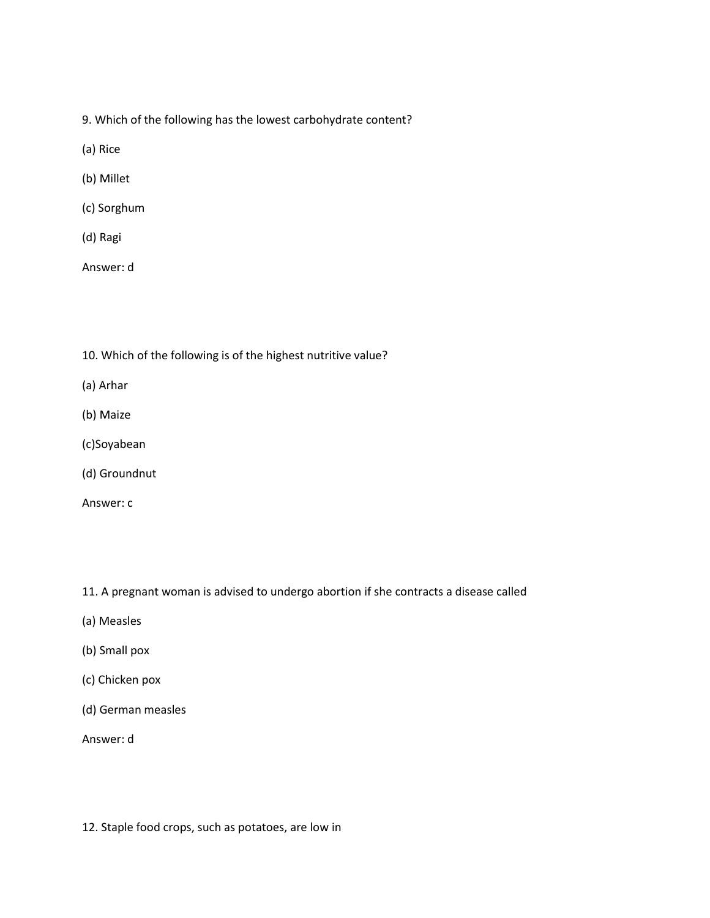- 9. Which of the following has the lowest carbohydrate content?
- (a) Rice
- (b) Millet
- (c) Sorghum
- (d) Ragi
- Answer: d
- 10. Which of the following is of the highest nutritive value?
- (a) Arhar
- (b) Maize
- (c)Soyabean
- (d) Groundnut
- Answer: c
- 11. A pregnant woman is advised to undergo abortion if she contracts a disease called
- (a) Measles
- (b) Small pox
- (c) Chicken pox
- (d) German measles
- Answer: d
- 12. Staple food crops, such as potatoes, are low in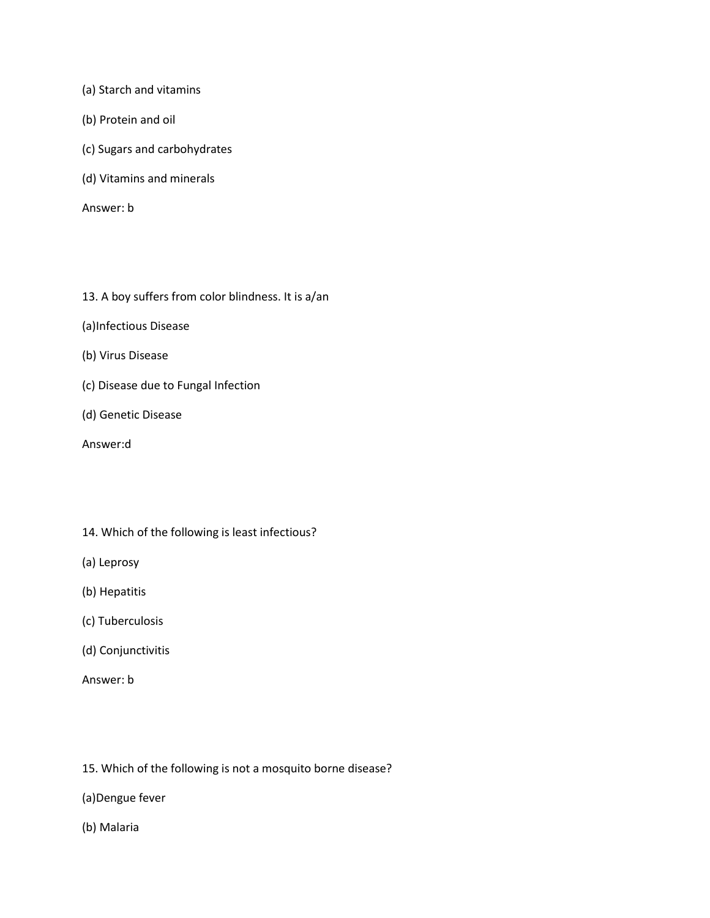(a) Starch and vitamins

- (b) Protein and oil
- (c) Sugars and carbohydrates
- (d) Vitamins and minerals

- 13. A boy suffers from color blindness. It is a/an
- (a)Infectious Disease
- (b) Virus Disease
- (c) Disease due to Fungal Infection
- (d) Genetic Disease
- Answer:d
- 14. Which of the following is least infectious?
- (a) Leprosy
- (b) Hepatitis
- (c) Tuberculosis
- (d) Conjunctivitis
- Answer: b
- 15. Which of the following is not a mosquito borne disease?
- (a)Dengue fever
- (b) Malaria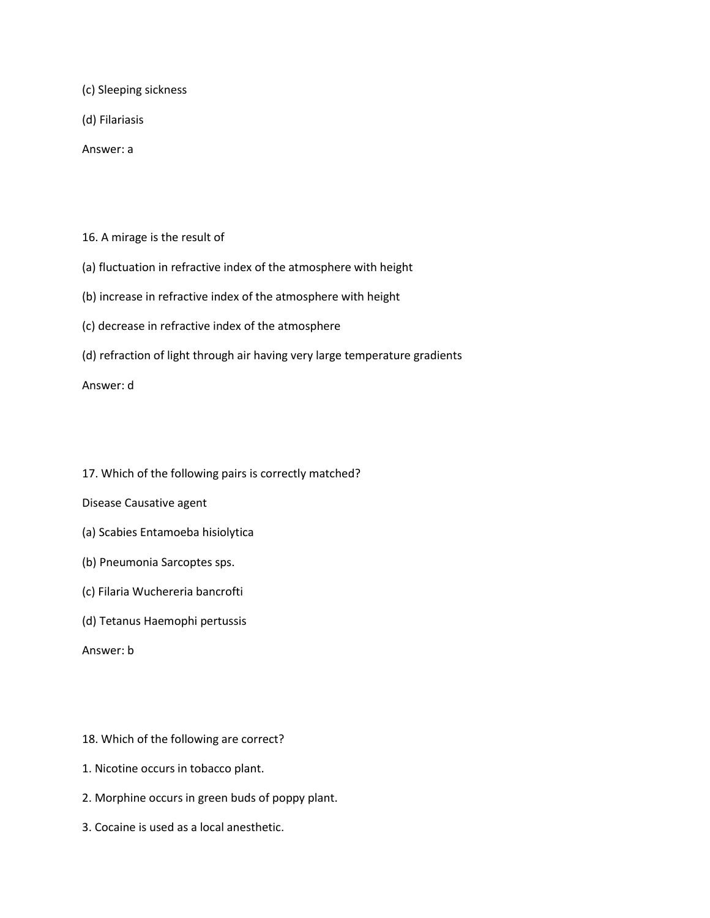(c) Sleeping sickness

(d) Filariasis

Answer: a

16. A mirage is the result of

(a) fluctuation in refractive index of the atmosphere with height

(b) increase in refractive index of the atmosphere with height

(c) decrease in refractive index of the atmosphere

(d) refraction of light through air having very large temperature gradients

Answer: d

17. Which of the following pairs is correctly matched?

Disease Causative agent

- (a) Scabies Entamoeba hisiolytica
- (b) Pneumonia Sarcoptes sps.
- (c) Filaria Wuchereria bancrofti
- (d) Tetanus Haemophi pertussis

Answer: b

18. Which of the following are correct?

- 1. Nicotine occurs in tobacco plant.
- 2. Morphine occurs in green buds of poppy plant.
- 3. Cocaine is used as a local anesthetic.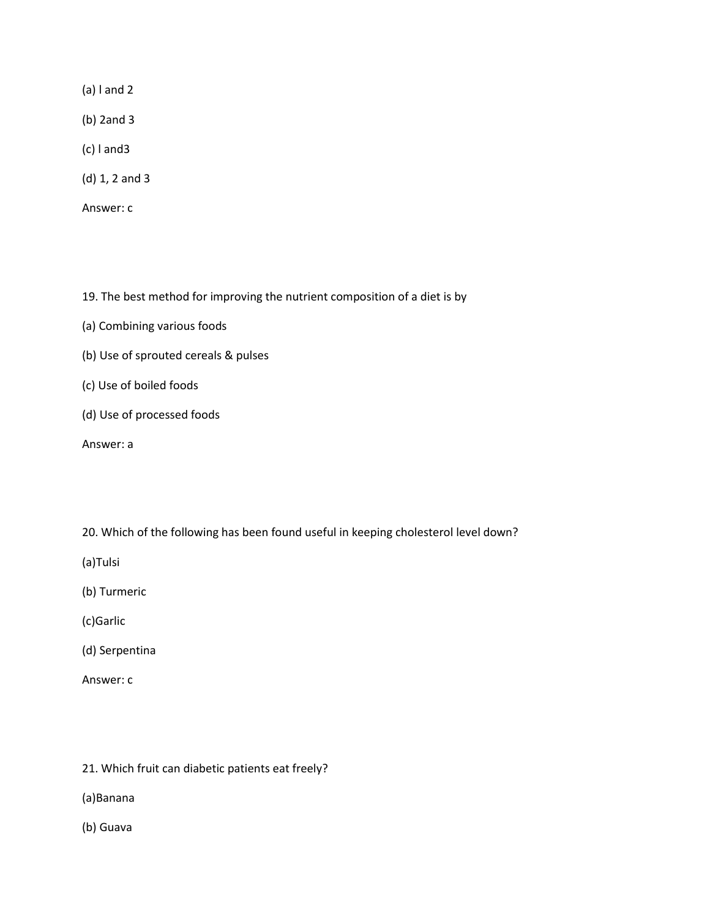(a) l and 2

- (b) 2and 3
- (c) l and3
- (d) 1, 2 and 3
- Answer: c

19. The best method for improving the nutrient composition of a diet is by

- (a) Combining various foods
- (b) Use of sprouted cereals & pulses
- (c) Use of boiled foods
- (d) Use of processed foods

Answer: a

20. Which of the following has been found useful in keeping cholesterol level down?

(a)Tulsi

- (b) Turmeric
- (c)Garlic
- (d) Serpentina
- Answer: c
- 21. Which fruit can diabetic patients eat freely?
- (a)Banana
- (b) Guava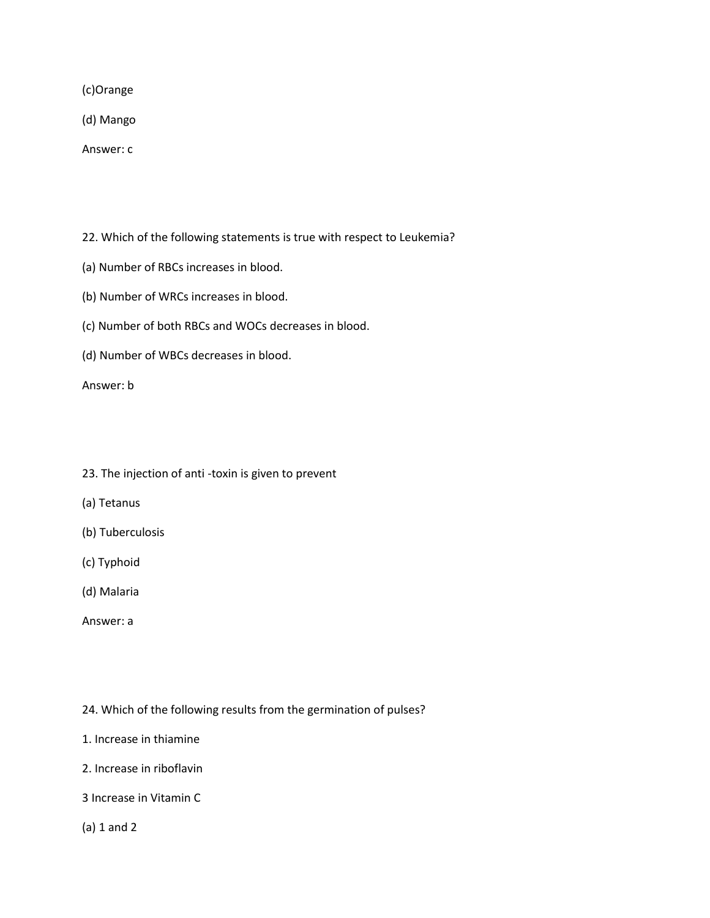(c)Orange

(d) Mango

Answer: c

22. Which of the following statements is true with respect to Leukemia?

- (a) Number of RBCs increases in blood.
- (b) Number of WRCs increases in blood.
- (c) Number of both RBCs and WOCs decreases in blood.
- (d) Number of WBCs decreases in blood.

Answer: b

- 23. The injection of anti -toxin is given to prevent
- (a) Tetanus
- (b) Tuberculosis
- (c) Typhoid
- (d) Malaria
- Answer: a

24. Which of the following results from the germination of pulses?

- 1. Increase in thiamine
- 2. Increase in riboflavin
- 3 Increase in Vitamin C

(a) 1 and 2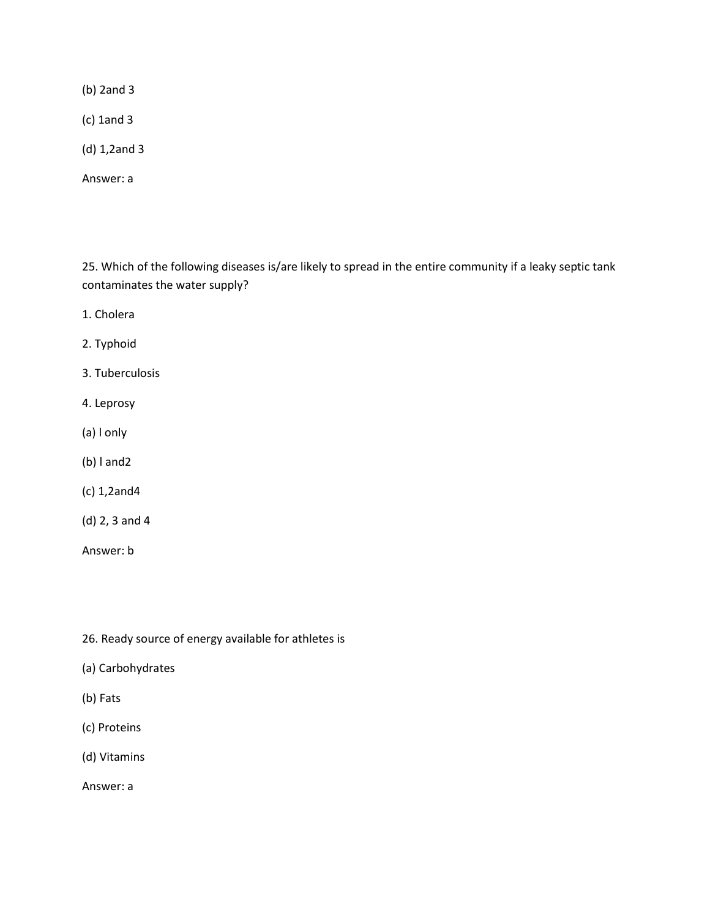(b) 2and 3

(c) 1and 3

(d) 1,2and 3

Answer: a

25. Which of the following diseases is/are likely to spread in the entire community if a leaky septic tank contaminates the water supply?

1. Cholera

2. Typhoid

3. Tuberculosis

- 4. Leprosy
- (a) l only
- (b) l and2
- (c) 1,2and4
- (d) 2, 3 and 4

Answer: b

26. Ready source of energy available for athletes is

- (a) Carbohydrates
- (b) Fats
- (c) Proteins
- (d) Vitamins

Answer: a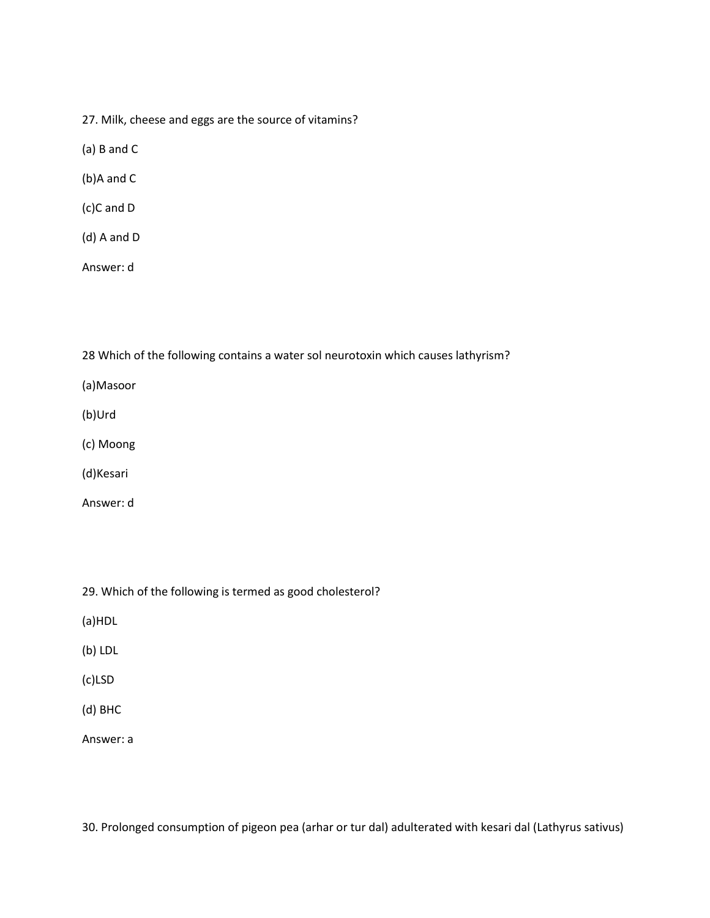27. Milk, cheese and eggs are the source of vitamins?

(a) B and C

(b)A and C

(c)C and D

(d) A and D

Answer: d

28 Which of the following contains a water sol neurotoxin which causes lathyrism?

(a)Masoor

(b)Urd

(c) Moong

(d)Kesari

Answer: d

29. Which of the following is termed as good cholesterol?

(a)HDL

(b) LDL

(c)LSD

(d) BHC

Answer: a

30. Prolonged consumption of pigeon pea (arhar or tur dal) adulterated with kesari dal (Lathyrus sativus)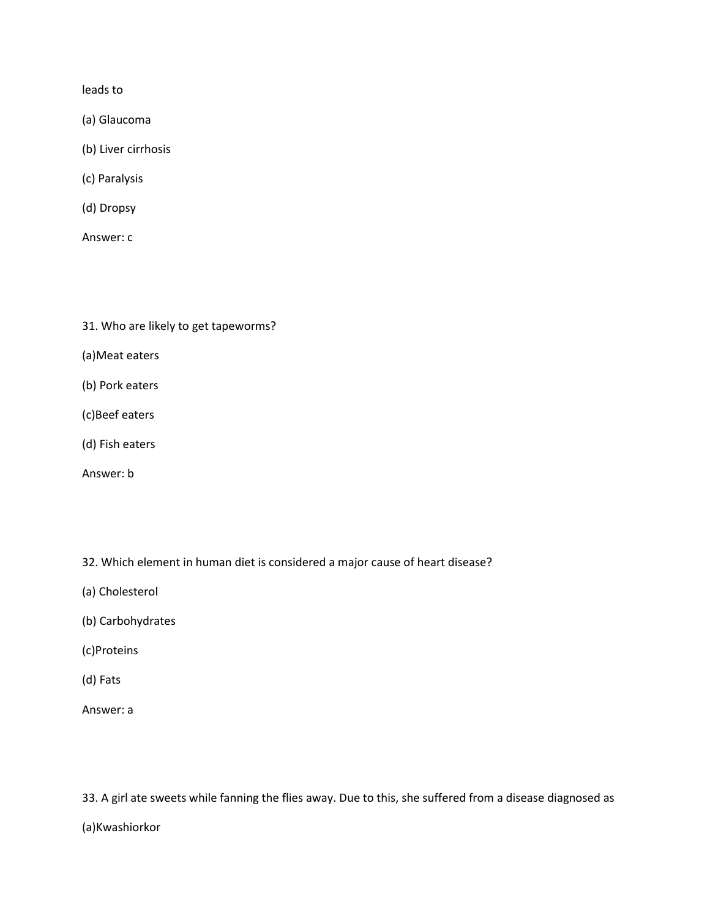leads to

- (a) Glaucoma
- (b) Liver cirrhosis
- (c) Paralysis
- (d) Dropsy
- Answer: c
- 31. Who are likely to get tapeworms?
- (a)Meat eaters
- (b) Pork eaters
- (c)Beef eaters
- (d) Fish eaters
- Answer: b
- 32. Which element in human diet is considered a major cause of heart disease?
- (a) Cholesterol
- (b) Carbohydrates
- (c)Proteins
- (d) Fats
- Answer: a

33. A girl ate sweets while fanning the flies away. Due to this, she suffered from a disease diagnosed as

(a)Kwashiorkor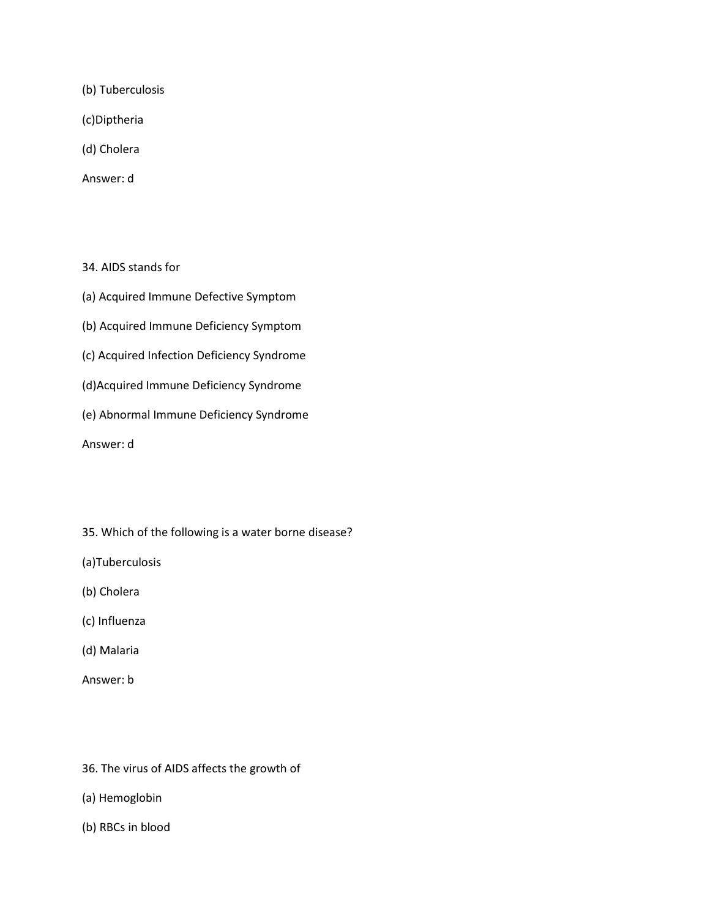(b) Tuberculosis

(c)Diptheria

(d) Cholera

Answer: d

34. AIDS stands for

(a) Acquired Immune Defective Symptom

(b) Acquired Immune Deficiency Symptom

(c) Acquired Infection Deficiency Syndrome

- (d)Acquired Immune Deficiency Syndrome
- (e) Abnormal Immune Deficiency Syndrome

Answer: d

35. Which of the following is a water borne disease?

(a)Tuberculosis

- (b) Cholera
- (c) Influenza
- (d) Malaria

- 36. The virus of AIDS affects the growth of
- (a) Hemoglobin
- (b) RBCs in blood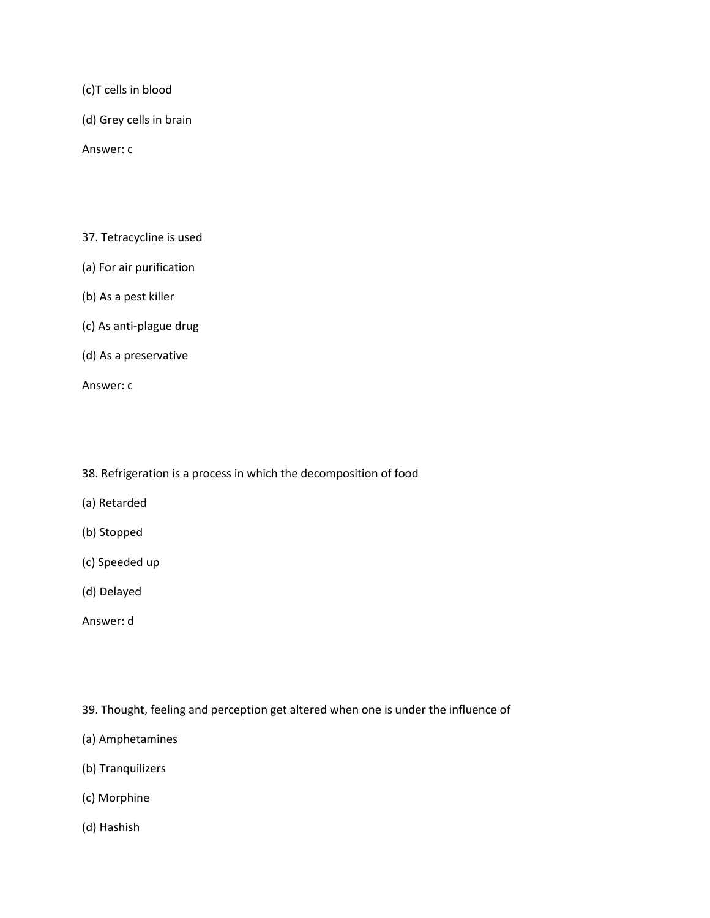(c)T cells in blood

(d) Grey cells in brain

Answer: c

- 37. Tetracycline is used
- (a) For air purification
- (b) As a pest killer
- (c) As anti-plague drug
- (d) As a preservative

Answer: c

- 38. Refrigeration is a process in which the decomposition of food
- (a) Retarded
- (b) Stopped
- (c) Speeded up
- (d) Delayed
- Answer: d

39. Thought, feeling and perception get altered when one is under the influence of

- (a) Amphetamines
- (b) Tranquilizers
- (c) Morphine
- (d) Hashish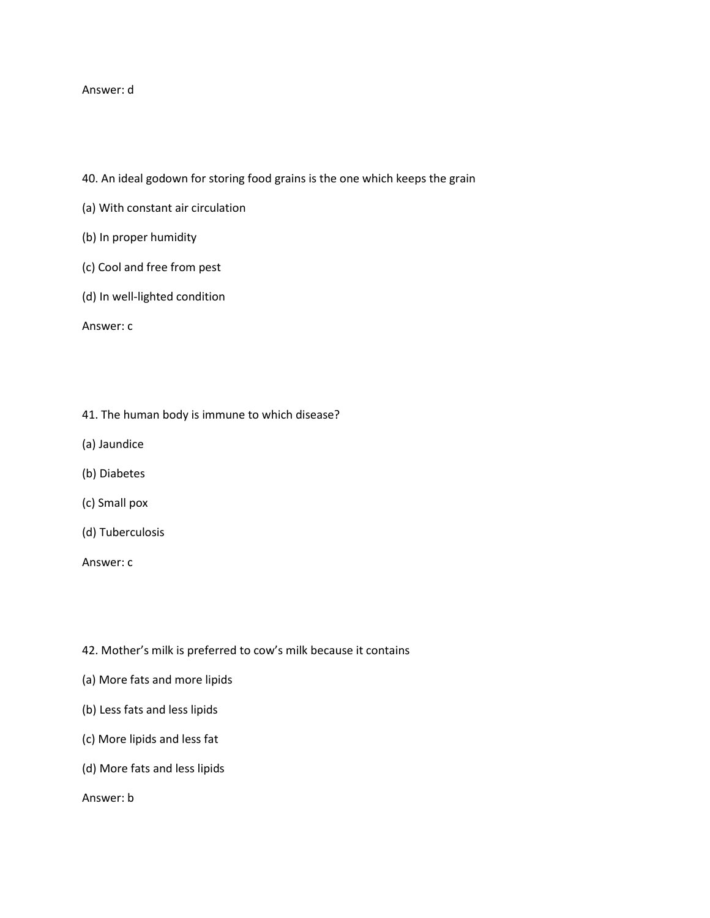## Answer: d

- 40. An ideal godown for storing food grains is the one which keeps the grain
- (a) With constant air circulation
- (b) In proper humidity
- (c) Cool and free from pest
- (d) In well-lighted condition

Answer: c

- 41. The human body is immune to which disease?
- (a) Jaundice
- (b) Diabetes
- (c) Small pox
- (d) Tuberculosis

Answer: c

- 42. Mother's milk is preferred to cow's milk because it contains
- (a) More fats and more lipids
- (b) Less fats and less lipids
- (c) More lipids and less fat
- (d) More fats and less lipids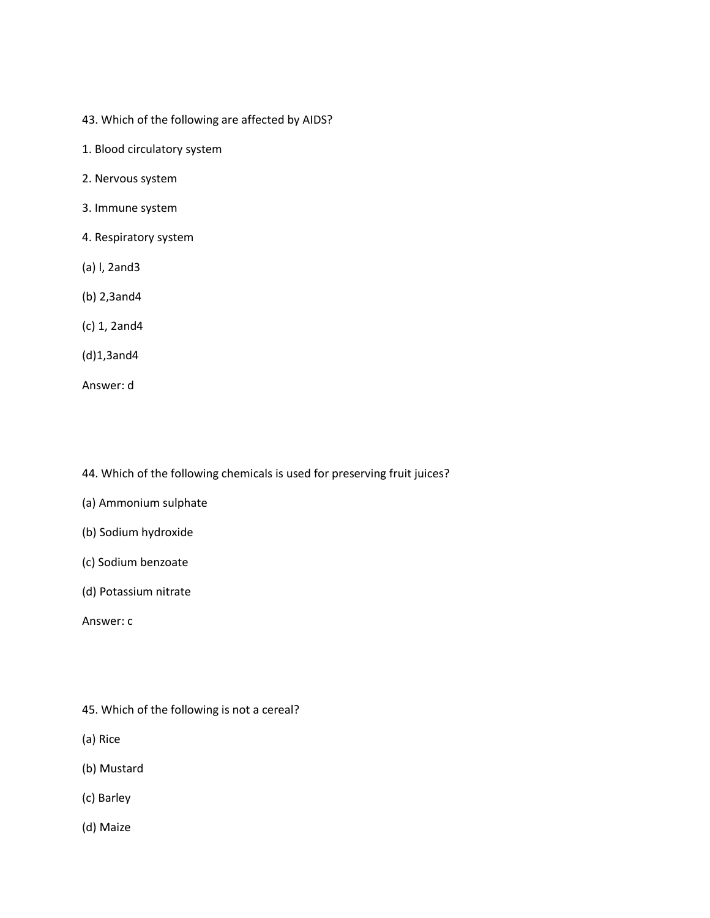- 43. Which of the following are affected by AIDS?
- 1. Blood circulatory system
- 2. Nervous system
- 3. Immune system
- 4. Respiratory system
- (a) l, 2and3
- (b) 2,3and4
- (c) 1, 2and4
- (d)1,3and4
- Answer: d

44. Which of the following chemicals is used for preserving fruit juices?

- (a) Ammonium sulphate
- (b) Sodium hydroxide
- (c) Sodium benzoate
- (d) Potassium nitrate

Answer: c

- 45. Which of the following is not a cereal?
- (a) Rice
- (b) Mustard
- (c) Barley
- (d) Maize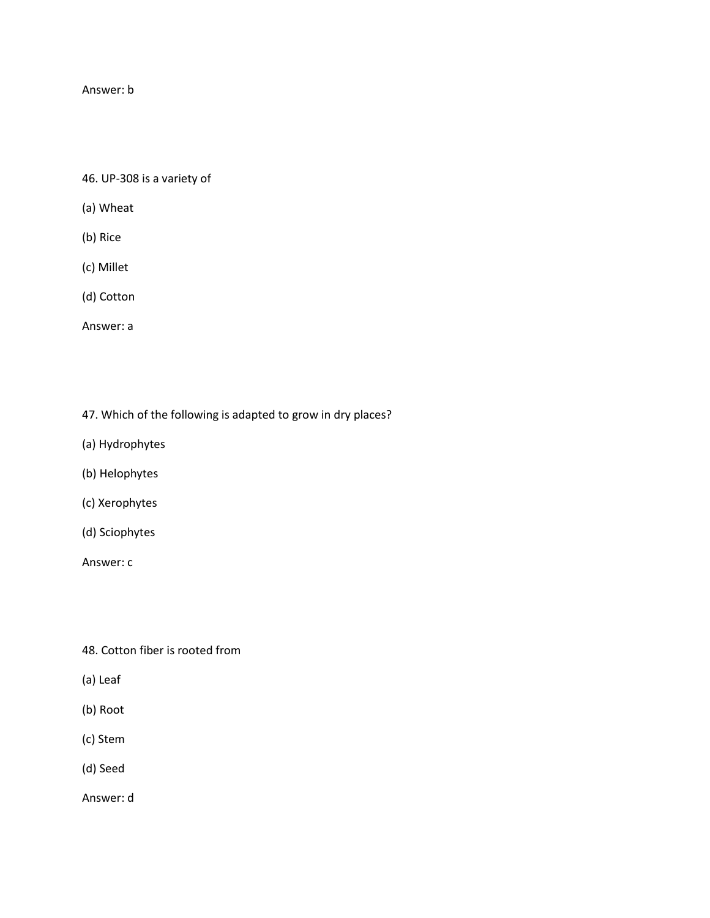## Answer: b

46. UP-308 is a variety of

- (a) Wheat
- (b) Rice
- (c) Millet
- (d) Cotton
- Answer: a
- 47. Which of the following is adapted to grow in dry places?
- (a) Hydrophytes
- (b) Helophytes
- (c) Xerophytes
- (d) Sciophytes

Answer: c

- 48. Cotton fiber is rooted from
- (a) Leaf
- (b) Root
- (c) Stem
- (d) Seed

Answer: d